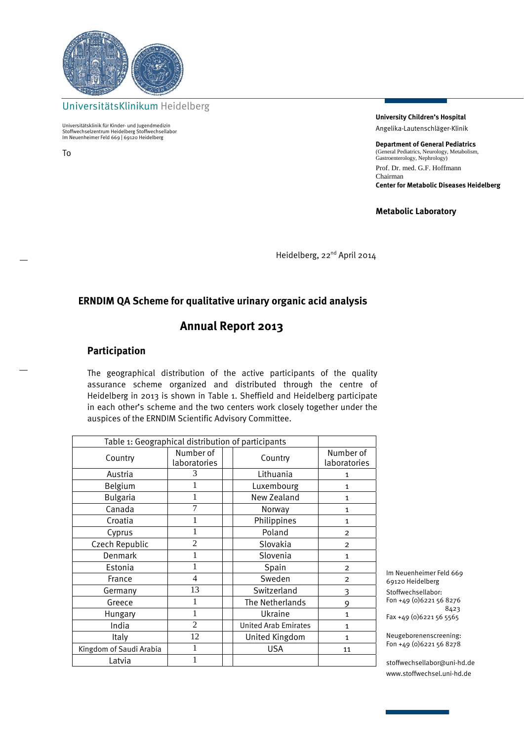

UniversitätsKlinikum Heidelberg

Universitätsklinik für Kinder- und Jugendmedizin Stoffwechselzentrum Heidelberg Stoffwechsellabor Im Neuenheimer Feld 669 | 69120 Heidelberg

To

**University Children's Hospital**  Angelika-Lautenschläger-Klinik

**Department of General Pediatrics** (General Pediatrics, Neurology, Metabolism, General Fediaties, Neurology, Gastroenterology, Nephrology) Prof. Dr. med. G.F. Hoffmann Chairman **Center for Metabolic Diseases Heidelberg**

**Metabolic Laboratory** 

Heidelberg, 22<sup>nd</sup> April 2014

### **ERNDIM QA Scheme for qualitative urinary organic acid analysis**

# **Annual Report 2013**

#### **Participation**

The geographical distribution of the active participants of the quality assurance scheme organized and distributed through the centre of Heidelberg in 2013 is shown in Table 1. Sheffield and Heidelberg participate in each other's scheme and the two centers work closely together under the auspices of the ERNDIM Scientific Advisory Committee.

| Table 1: Geographical distribution of participants |                           |  |                             |                           |
|----------------------------------------------------|---------------------------|--|-----------------------------|---------------------------|
| Country                                            | Number of<br>laboratories |  | Country                     | Number of<br>laboratories |
| Austria                                            | 3                         |  | Lithuania                   | 1                         |
| Belgium                                            |                           |  | Luxembourg                  | $\mathbf{1}$              |
| <b>Bulgaria</b>                                    |                           |  | New Zealand                 | $\mathbf{1}$              |
| Canada                                             | 7                         |  | Norway                      | $\mathbf{1}$              |
| Croatia                                            |                           |  | Philippines                 | 1                         |
| Cyprus                                             |                           |  | Poland                      | $\overline{2}$            |
| Czech Republic                                     | $\overline{2}$            |  | Slovakia                    | $\overline{2}$            |
| <b>Denmark</b>                                     |                           |  | Slovenia                    | $\mathbf{1}$              |
| Estonia                                            |                           |  | Spain                       | $\overline{2}$            |
| France                                             | 4                         |  | Sweden                      | $\overline{2}$            |
| Germany                                            | 13                        |  | Switzerland                 | 3                         |
| Greece                                             | 1                         |  | The Netherlands             | 9                         |
| Hungary                                            | 1                         |  | Ukraine                     | $\mathbf{1}$              |
| India                                              | $\overline{2}$            |  | <b>United Arab Emirates</b> | 1                         |
| Italy                                              | 12                        |  | United Kingdom              | 1                         |
| Kingdom of Saudi Arabia                            |                           |  | <b>USA</b>                  | 11                        |
| Latvia                                             |                           |  |                             |                           |

Im Neuenheimer Feld 669 69120 Heidelberg Stoffwechsellabor: Fon +49 (0)6221 56 8276 8423 Fax +49 (0)6221 56 5565

Neugeborenenscreening: Fon +49 (0)6221 56 8278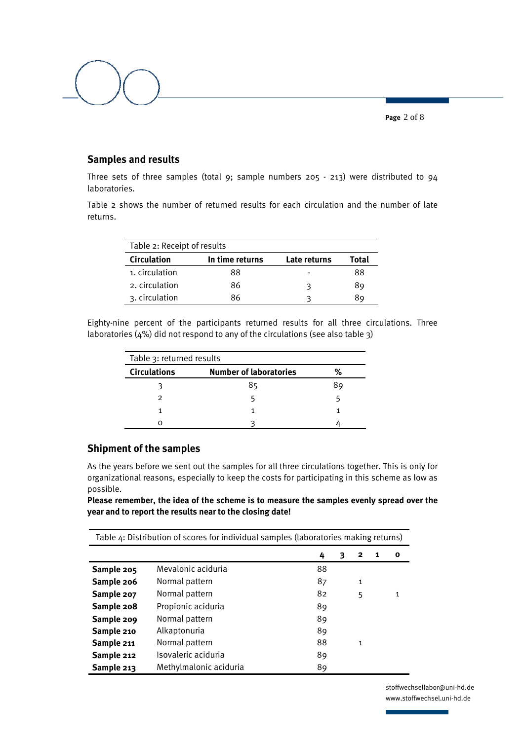**Page** 2 of 8

# **Samples and results**

Three sets of three samples (total 9; sample numbers 205 - 213) were distributed to 94 laboratories.

Table 2 shows the number of returned results for each circulation and the number of late returns.

| Table 2: Receipt of results |                 |              |       |  |
|-----------------------------|-----------------|--------------|-------|--|
| <b>Circulation</b>          | In time returns | Late returns | Total |  |
| 1. circulation              | 88              |              | 88    |  |
| 2. circulation              | 86              | 3            | 89    |  |
| 3. circulation              | 86              |              | 89    |  |

Eighty-nine percent of the participants returned results for all three circulations. Three laboratories (4%) did not respond to any of the circulations (see also table 3)

| Table 3: returned results |                               |    |  |  |  |
|---------------------------|-------------------------------|----|--|--|--|
| <b>Circulations</b>       | <b>Number of laboratories</b> | %  |  |  |  |
|                           | 85                            | 89 |  |  |  |
|                           |                               |    |  |  |  |
|                           |                               |    |  |  |  |
|                           |                               |    |  |  |  |

#### **Shipment of the samples**

As the years before we sent out the samples for all three circulations together. This is only for organizational reasons, especially to keep the costs for participating in this scheme as low as possible.

**Please remember, the idea of the scheme is to measure the samples evenly spread over the year and to report the results near to the closing date!** 

| Table 4: Distribution of scores for individual samples (laboratories making returns) |                        |    |   |              |   |              |
|--------------------------------------------------------------------------------------|------------------------|----|---|--------------|---|--------------|
|                                                                                      |                        | 4  | З | 2            | 1 | O            |
| Sample 205                                                                           | Mevalonic aciduria     | 88 |   |              |   |              |
| Sample 206                                                                           | Normal pattern         | 87 |   | 1            |   |              |
| Sample 207                                                                           | Normal pattern         | 82 |   | 5            |   | $\mathbf{1}$ |
| Sample 208                                                                           | Propionic aciduria     | 89 |   |              |   |              |
| Sample 209                                                                           | Normal pattern         | 89 |   |              |   |              |
| Sample 210                                                                           | Alkaptonuria           | 89 |   |              |   |              |
| Sample 211                                                                           | Normal pattern         | 88 |   | $\mathbf{1}$ |   |              |
| Sample 212                                                                           | Isovaleric aciduria    | 89 |   |              |   |              |
| Sample 213                                                                           | Methylmalonic aciduria | 89 |   |              |   |              |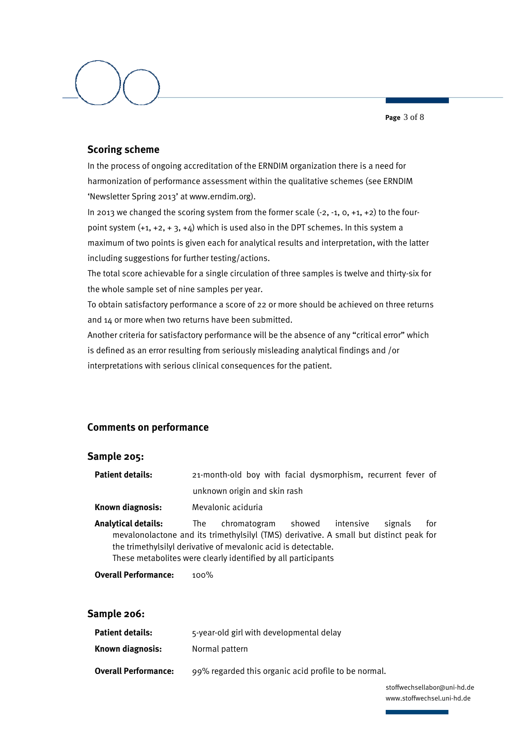**Page** 3 of 8

## **Scoring scheme**

In the process of ongoing accreditation of the ERNDIM organization there is a need for harmonization of performance assessment within the qualitative schemes (see ERNDIM 'Newsletter Spring 2013' at www.erndim.org).

In 2013 we changed the scoring system from the former scale (-2, -1, 0, +1, +2) to the fourpoint system  $(+1, +2, +3, +4)$  which is used also in the DPT schemes. In this system a maximum of two points is given each for analytical results and interpretation, with the latter including suggestions for further testing/actions.

The total score achievable for a single circulation of three samples is twelve and thirty-six for the whole sample set of nine samples per year.

To obtain satisfactory performance a score of 22 or more should be achieved on three returns and 14 or more when two returns have been submitted.

Another criteria for satisfactory performance will be the absence of any "critical error" which is defined as an error resulting from seriously misleading analytical findings and /or interpretations with serious clinical consequences for the patient.

# **Comments on performance**

#### **Sample 205:**

| <b>Patient details:</b> |                              |  | 21-month-old boy with facial dysmorphism, recurrent fever of |  |  |
|-------------------------|------------------------------|--|--------------------------------------------------------------|--|--|
|                         | unknown origin and skin rash |  |                                                              |  |  |

**Known diagnosis:** Mevalonic aciduria

**Analytical details:** The chromatogram showed intensive signals for mevalonolactone and its trimethylsilyl (TMS) derivative. A small but distinct peak for the trimethylsilyl derivative of mevalonic acid is detectable. These metabolites were clearly identified by all participants

**Overall Performance:** 100%

#### **Sample 206:**

| Patient details:            | 5-year-old girl with developmental delay             |
|-----------------------------|------------------------------------------------------|
| Known diagnosis:            | Normal pattern                                       |
| <b>Overall Performance:</b> | 99% regarded this organic acid profile to be normal. |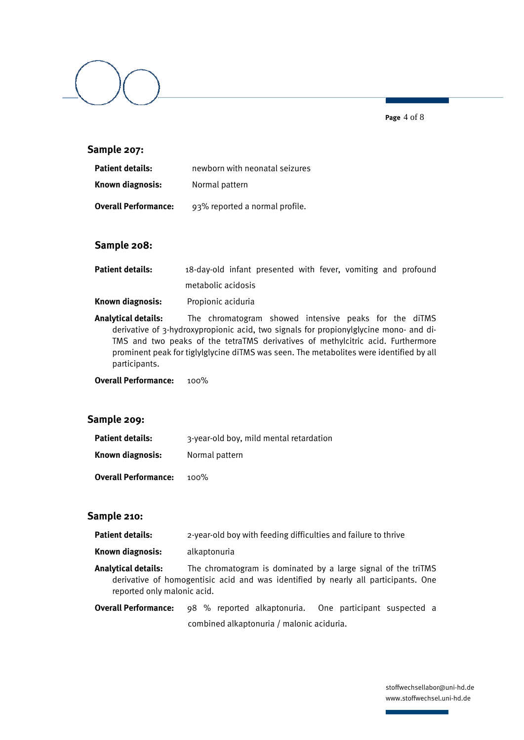**Page** 4 of 8

### **Sample 207:**

| <b>Patient details:</b>     | newborn with neonatal seizures |
|-----------------------------|--------------------------------|
| Known diagnosis:            | Normal pattern                 |
| <b>Overall Performance:</b> | 93% reported a normal profile. |

#### **Sample 208:**

| Patient details: | 18-day-old infant presented with fever, vomiting and profound |  |  |  |  |
|------------------|---------------------------------------------------------------|--|--|--|--|
|                  | metabolic acidosis                                            |  |  |  |  |

**Known diagnosis:** Propionic aciduria

**Analytical details:** The chromatogram showed intensive peaks for the diTMS derivative of 3-hydroxypropionic acid, two signals for propionylglycine mono- and di-TMS and two peaks of the tetraTMS derivatives of methylcitric acid. Furthermore prominent peak for tiglylglycine diTMS was seen. The metabolites were identified by all participants.

**Overall Performance:** 100%

#### **Sample 209:**

| <b>Patient details:</b>     | 3-year-old boy, mild mental retardation |  |  |
|-----------------------------|-----------------------------------------|--|--|
| Known diagnosis:            | Normal pattern                          |  |  |
| <b>Overall Performance:</b> | $100\%$                                 |  |  |

#### **Sample 210:**

- **Patient details:** 2-year-old boy with feeding difficulties and failure to thrive
- **Known diagnosis:** alkaptonuria
- **Analytical details:** The chromatogram is dominated by a large signal of the triTMS derivative of homogentisic acid and was identified by nearly all participants. One reported only malonic acid.
- **Overall Performance:** 98 % reported alkaptonuria. One participant suspected a combined alkaptonuria / malonic aciduria.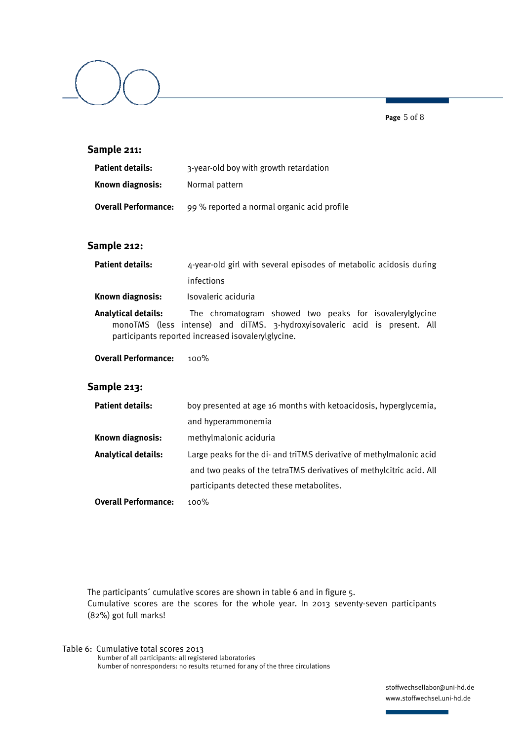**Page** 5 of 8

### **Sample 211:**

| Patient details:     | 3-year-old boy with growth retardation      |
|----------------------|---------------------------------------------|
| Known diagnosis:     | Normal pattern                              |
| Overall Performance: | 99 % reported a normal organic acid profile |

#### **Sample 212:**

| <b>Patient details:</b> | 4-year-old girl with several episodes of metabolic acidosis during |
|-------------------------|--------------------------------------------------------------------|
|                         | infections                                                         |
| Known diagnosis:        | Isovaleric aciduria                                                |

- **Analytical details:** The chromatogram showed two peaks for isovalerylglycine monoTMS (less intense) and diTMS. 3-hydroxyisovaleric acid is present. All participants reported increased isovalerylglycine.
- **Overall Performance:** 100%

#### **Sample 213:**

| <b>Patient details:</b>     | boy presented at age 16 months with ketoacidosis, hyperglycemia,    |
|-----------------------------|---------------------------------------------------------------------|
|                             | and hyperammonemia                                                  |
| Known diagnosis:            | methylmalonic aciduria                                              |
| <b>Analytical details:</b>  | Large peaks for the di- and triTMS derivative of methylmalonic acid |
|                             | and two peaks of the tetraTMS derivatives of methylcitric acid. All |
|                             | participants detected these metabolites.                            |
| <b>Overall Performance:</b> | $100\%$                                                             |

The participants<sup>2</sup> cumulative scores are shown in table 6 and in figure 5. Cumulative scores are the scores for the whole year. In 2013 seventy-seven participants (82%) got full marks!

Table 6: Cumulative total scores 2013 Number of all participants: all registered laboratories Number of nonresponders: no results returned for any of the three circulations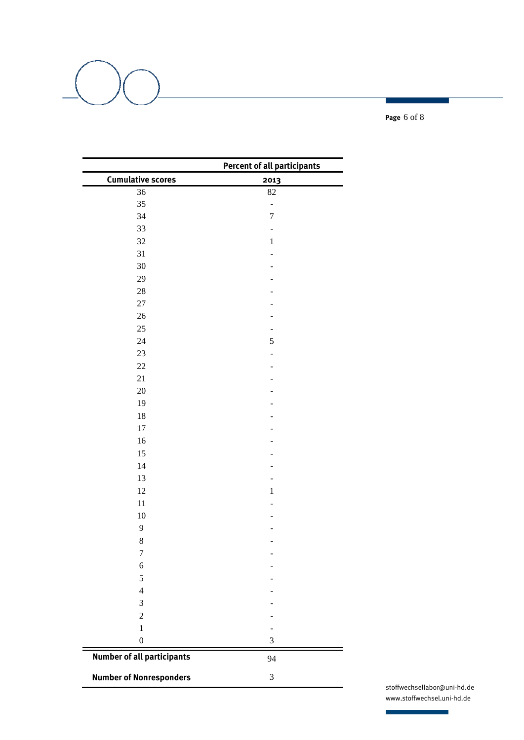**Page** 6 of 8

|                                   | <b>Percent of all participants</b> |
|-----------------------------------|------------------------------------|
| <b>Cumulative scores</b>          | 2013                               |
| 36                                | 82                                 |
| 35                                |                                    |
| 34                                | $\overline{7}$                     |
| 33                                | $\qquad \qquad \blacksquare$       |
| 32                                | $\,1$                              |
| 31                                |                                    |
| 30                                |                                    |
| 29                                |                                    |
| $28\,$                            |                                    |
| $27\,$                            |                                    |
| 26                                |                                    |
| 25                                |                                    |
| 24                                | 5                                  |
| 23                                |                                    |
| $22\,$                            |                                    |
| 21                                |                                    |
| 20                                |                                    |
| 19                                |                                    |
| $18\,$                            |                                    |
| $17\,$                            |                                    |
| 16                                |                                    |
| 15                                |                                    |
| 14                                |                                    |
| 13                                |                                    |
| 12                                | $\,1$                              |
| 11                                |                                    |
| $10\,$                            |                                    |
| 9                                 |                                    |
| $\,8\,$                           |                                    |
| $\sqrt{ }$                        |                                    |
| 6                                 |                                    |
| 5                                 |                                    |
| $\overline{4}$                    |                                    |
| $\mathfrak{Z}$                    |                                    |
| $\sqrt{2}$                        |                                    |
| $\mathbf{1}$                      |                                    |
| $\boldsymbol{0}$                  | $\ensuremath{\mathfrak{Z}}$        |
| <b>Number of all participants</b> | 94                                 |
| <b>Number of Nonresponders</b>    | $\ensuremath{\mathfrak{Z}}$        |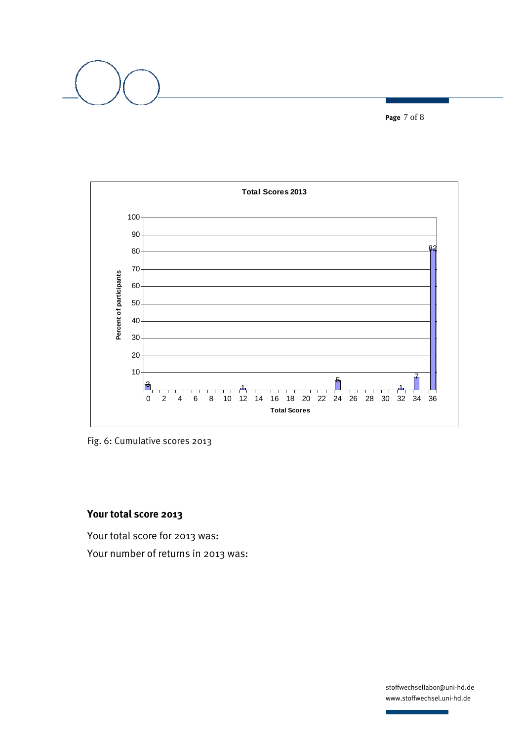**Page** 7 of 8



Fig. 6: Cumulative scores 2013

# **Your total score 2013**

Your total score for 2013 was: Your number of returns in 2013 was: